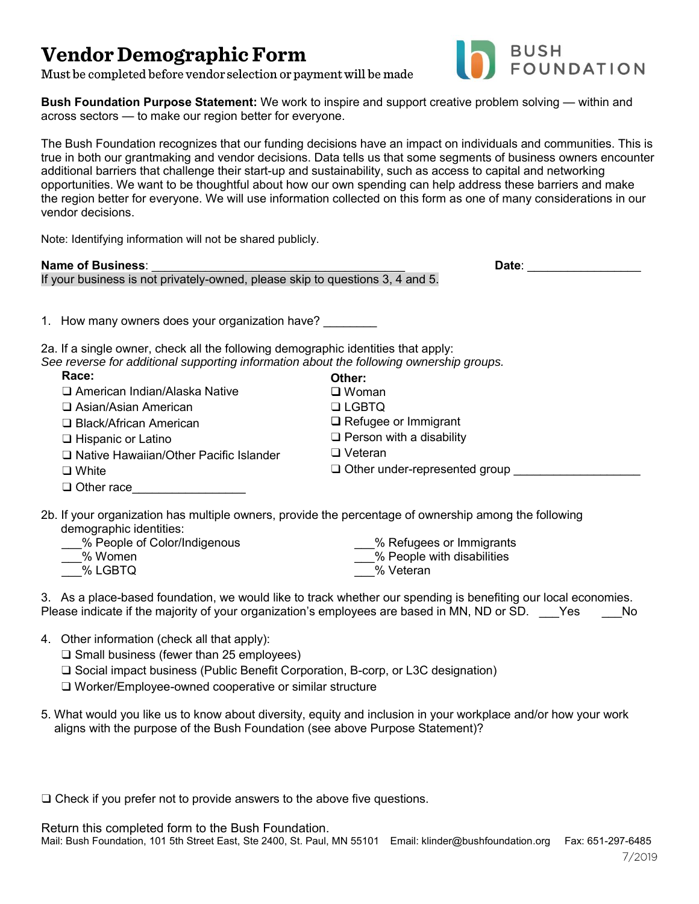## **Vendor Demographic Form**

BUSH<br>FOUNDATION

Must be completed before vendor selection or payment will be made

**Bush Foundation Purpose Statement:** We work to inspire and support creative problem solving — within and across sectors — to make our region better for everyone.

The Bush Foundation recognizes that our funding decisions have an impact on individuals and communities. This is true in both our grantmaking and vendor decisions. Data tells us that some segments of business owners encounter additional barriers that challenge their start-up and sustainability, such as access to capital and networking opportunities. We want to be thoughtful about how our own spending can help address these barriers and make the region better for everyone. We will use information collected on this form as one of many considerations in our vendor decisions.

Note: Identifying information will not be shared publicly.

If your business is not privately-owned, please skip to questions 3, 4 and 5.

**Name of Business**: \_\_\_\_\_\_\_\_\_\_\_\_\_\_\_\_\_\_\_\_\_\_\_\_\_\_\_\_\_\_\_\_\_\_\_\_\_\_ **Date**: \_\_\_\_\_\_\_\_\_\_\_\_\_\_\_\_\_

1. How many owners does your organization have?

2a. If a single owner, check all the following demographic identities that apply: *See reverse for additional supporting information about the following ownership groups.*

| Race:                                    | Other:                               |
|------------------------------------------|--------------------------------------|
| □ American Indian/Alaska Native          | $\square$ Woman                      |
| □ Asian/Asian American                   | $\Box$ LGBTQ                         |
| □ Black/African American                 | $\Box$ Refugee or Immigrant          |
| □ Hispanic or Latino                     | $\Box$ Person with a disability      |
| □ Native Hawaiian/Other Pacific Islander | $\Box$ Veteran                       |
| $\Box$ White                             | $\Box$ Other under-represented group |
| $\Box$ Other race                        |                                      |

2b. If your organization has multiple owners, provide the percentage of ownership among the following demographic identities:

| % People of Color/Indigenous | % Refugees or Immigrants   |
|------------------------------|----------------------------|
| % Women                      | % People with disabilities |
| % LGBTQ                      | % Veteran                  |

3. As a place-based foundation, we would like to track whether our spending is benefiting our local economies. Please indicate if the majority of your organization's employees are based in MN, ND or SD. Yes No

- 4. Other information (check all that apply):
	- ❑ Small business (fewer than 25 employees)

❑ Social impact business (Public Benefit Corporation, B-corp, or L3C designation)

❑ Worker/Employee-owned cooperative or similar structure

5. What would you like us to know about diversity, equity and inclusion in your workplace and/or how your work aligns with the purpose of the Bush Foundation (see above Purpose Statement)?

❑ Check if you prefer not to provide answers to the above five questions.

Return this completed form to the Bush Foundation. Mail: Bush Foundation, 101 5th Street East, Ste 2400, St. Paul, MN 55101 Email: klinder@bushfoundation.org Fax: 651-297-6485